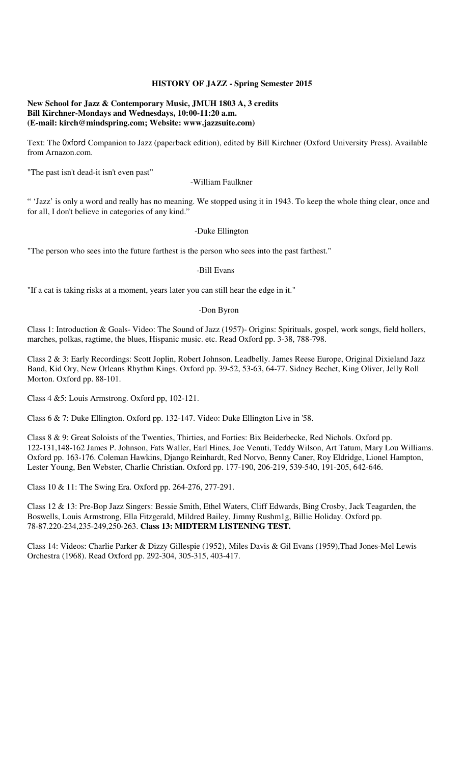### **HISTORY OF JAZZ - Spring Semester 2015**

#### **New School for Jazz & Contemporary Music, JMUH 1803 A, 3 credits Bill Kirchner-Mondays and Wednesdays, 10:00-11:20 a.m. (E-mail: kirch@mindspring.com; Website: www.jazzsuite.com)**

Text: The 0xford Companion to Jazz (paperback edition), edited by Bill Kirchner (Oxford University Press). Available from Arnazon.com.

"The past isn't dead-it isn't even past"

-William Faulkner

" 'Jazz' is only a word and really has no meaning. We stopped using it in 1943. To keep the whole thing clear, once and for all, I don't believe in categories of any kind."

#### -Duke Ellington

"The person who sees into the future farthest is the person who sees into the past farthest."

-Bill Evans

"If a cat is taking risks at a moment, years later you can still hear the edge in it."

#### -Don Byron

Class 1: Introduction & Goals- Video: The Sound of Jazz (1957)- Origins: Spirituals, gospel, work songs, field hollers, marches, polkas, ragtime, the blues, Hispanic music. etc. Read Oxford pp. 3-38, 788-798.

Class 2 & 3: Early Recordings: Scott Joplin, Robert Johnson. Leadbelly. James Reese Europe, Original Dixieland Jazz Band, Kid Ory, New Orleans Rhythm Kings. Oxford pp. 39-52, 53-63, 64-77. Sidney Bechet, King Oliver, Jelly Roll Morton. Oxford pp. 88-101.

Class 4 &5: Louis Armstrong. Oxford pp, 102-121.

Class 6 & 7: Duke Ellington. Oxford pp. 132-147. Video: Duke Ellington Live in '58.

Class 8 & 9: Great Soloists of the Twenties, Thirties, and Forties: Bix Beiderbecke, Red Nichols. Oxford pp. 122-131,148-162 James P. Johnson, Fats Waller, Earl Hines, Joe Venuti, Teddy Wilson, Art Tatum, Mary Lou Williams. Oxford pp. 163-176. Coleman Hawkins, Django Reinhardt, Red Norvo, Benny Caner, Roy Eldridge, Lionel Hampton, Lester Young, Ben Webster, Charlie Christian. Oxford pp. 177-190, 206-219, 539-540, 191-205, 642-646.

Class 10 & 11: The Swing Era. Oxford pp. 264-276, 277-291.

Class 12 & 13: Pre-Bop Jazz Singers: Bessie Smith, Ethel Waters, Cliff Edwards, Bing Crosby, Jack Teagarden, the Boswells, Louis Armstrong, Ella Fitzgerald, Mildred Bailey, Jimmy Rushm1g, Billie Holiday. Oxford pp. 78-87.220-234,235-249,250-263. **Class 13: MIDTERM LISTENING TEST.** 

Class 14: Videos: Charlie Parker & Dizzy Gillespie (1952), Miles Davis & Gil Evans (1959),Thad Jones-Mel Lewis Orchestra (1968). Read Oxford pp. 292-304, 305-315, 403-417.